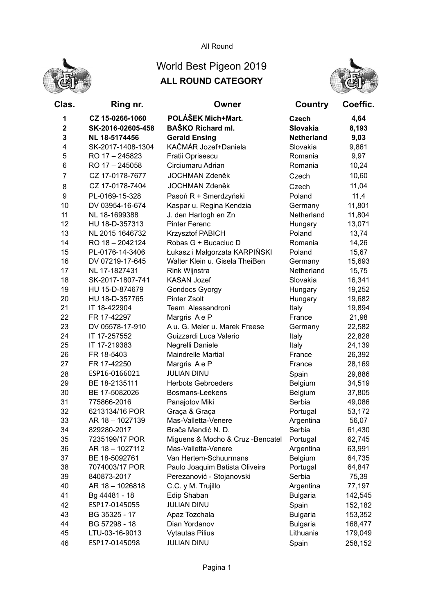

## All Round

## World Best Pigeon 2019 ALL ROUND CATEGORY



| Clas.          | Ring nr.          | Owner                             | Country           | Coeffic. |
|----------------|-------------------|-----------------------------------|-------------------|----------|
| 1              | CZ 15-0266-1060   | POLÁŠEK Mich+Mart.                | <b>Czech</b>      | 4,64     |
| $\mathbf 2$    | SK-2016-02605-458 | <b>BAŠKO Richard ml.</b>          | <b>Slovakia</b>   | 8,193    |
| 3              | NL 18-5174456     | <b>Gerald Ensing</b>              | <b>Netherland</b> | 9,03     |
| 4              | SK-2017-1408-1304 | KAČMÁR Jozef+Daniela              | Slovakia          | 9,861    |
| 5              | RO 17 - 245823    | Fratii Oprisescu                  | Romania           | 9,97     |
| 6              | RO 17 - 245058    | Circiumaru Adrian                 | Romania           | 10,24    |
| $\overline{7}$ | CZ 17-0178-7677   | <b>JOCHMAN Zdeněk</b>             | Czech             | 10,60    |
| 8              | CZ 17-0178-7404   | <b>JOCHMAN Zdeněk</b>             | Czech             | 11,04    |
| 9              | PL-0169-15-328    | Pasoń R + Smerdzyński             | Poland            | 11,4     |
| 10             | DV 03954-16-674   | Kaspar u. Regina Kendzia          | Germany           | 11,801   |
| 11             | NL 18-1699388     | J. den Hartogh en Zn              | Netherland        | 11,804   |
| 12             | HU 18-D-357313    | <b>Pinter Ferenc</b>              | Hungary           | 13,071   |
| 13             | NL 2015 1646732   | <b>Krzysztof PABICH</b>           | Poland            | 13,74    |
| 14             | RO 18 - 2042124   | Robas G + Bucaciuc D              | Romania           | 14,26    |
| 15             | PL-0176-14-3406   | Łukasz i Małgorzata KARPIŃSKI     | Poland            | 15,67    |
| 16             | DV 07219-17-645   | Walter Klein u. Gisela TheiBen    | Germany           | 15,693   |
| 17             | NL 17-1827431     | Rink Wijnstra                     | Netherland        | 15,75    |
| 18             | SK-2017-1807-741  | <b>KASAN Jozef</b>                | Slovakia          | 16,341   |
| 19             | HU 15-D-874679    | <b>Gondocs Gyorgy</b>             | Hungary           | 19,252   |
| 20             | HU 18-D-357765    | <b>Pinter Zsolt</b>               | Hungary           | 19,682   |
| 21             | IT 18-422904      | Team Alessandroni                 | Italy             | 19,894   |
| 22             | FR 17-42297       | Margris Ae P                      | France            | 21,98    |
| 23             | DV 05578-17-910   | A u. G. Meier u. Marek Freese     | Germany           | 22,582   |
| 24             | IT 17-257552      | Guizzardi Luca Valerio            | Italy             | 22,828   |
| 25             | IT 17-219383      | Negrelli Daniele                  | Italy             | 24,139   |
| 26             | FR 18-5403        | <b>Maindrelle Martial</b>         | France            | 26,392   |
| 27             | FR 17-42250       | Margris Ae P                      | France            | 28,169   |
| 28             | ESP16-0166021     | <b>JULIAN DINU</b>                | Spain             | 29,886   |
| 29             | BE 18-2135111     | <b>Herbots Gebroeders</b>         | Belgium           | 34,519   |
| 30             | BE 17-5082026     | Bosmans-Leekens                   | Belgium           | 37,805   |
| 31             | 775866-2016       | Panajotov Miki                    | Serbia            | 49,086   |
| 32             | 6213134/16 POR    | Graça & Graça                     | Portugal          | 53,172   |
| 33             | AR 18 - 1027139   | Mas-Valletta-Venere               | Argentina         | 56,07    |
| 34             | 829280-2017       | Brača Mandić N. D.                | Serbia            | 61,430   |
| 35             | 7235199/17 POR    | Miguens & Mocho & Cruz - Bencatel | Portugal          | 62,745   |
| 36             | AR 18 - 1027112   | Mas-Valletta-Venere               | Argentina         | 63,991   |
| 37             | BE 18-5092761     | Van Hertem-Schuurmans             | Belgium           | 64,735   |
| 38             | 7074003/17 POR    | Paulo Joaquim Batista Oliveira    | Portugal          | 64,847   |
| 39             | 840873-2017       | Perezanović - Stojanovski         | Serbia            | 75,39    |
| 40             | AR 18 - 1026818   | C.C. y M. Trujillo                | Argentina         | 77,197   |
| 41             | Bg 44481 - 18     | Edip Shaban                       | <b>Bulgaria</b>   | 142,545  |
| 42             | ESP17-0145055     | <b>JULIAN DINU</b>                | Spain             | 152,182  |
| 43             | BG 35325 - 17     | Apaz Tozchala                     | <b>Bulgaria</b>   | 153,352  |
| 44             | BG 57298 - 18     | Dian Yordanov                     | <b>Bulgaria</b>   | 168,477  |
| 45             | LTU-03-16-9013    | <b>Vytautas Pilius</b>            | Lithuania         | 179,049  |
| 46             | ESP17-0145098     | <b>JULIAN DINU</b>                | Spain             | 258,152  |
|                |                   |                                   |                   |          |